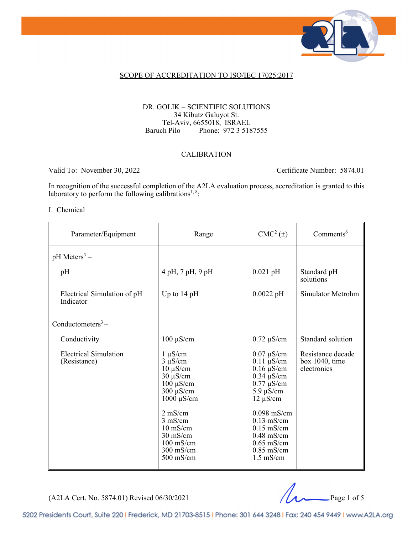

#### SCOPE OF ACCREDITATION TO ISO/IEC 17025:2017

#### DR. GOLIK – SCIENTIFIC SOLUTIONS 34 Kibutz Galuyot St. Tel-Aviv, 6655018, ISRAEL<br>Baruch Pilo Phone: 972 3 518 Phone: 972 3 5187555

#### CALIBRATION

Valid To: November 30, 2022 Certificate Number: 5874.01

In recognition of the successful completion of the A2LA evaluation process, accreditation is granted to this laboratory to perform the following calibrations<sup>1, 8</sup>:

#### I. Chemical

| Parameter/Equipment                          | Range                                                                                                                                                                                                                                            | CMC <sup>2</sup> (±)                                                                                                                                                                                                                           | Comments <sup>6</sup>                              |
|----------------------------------------------|--------------------------------------------------------------------------------------------------------------------------------------------------------------------------------------------------------------------------------------------------|------------------------------------------------------------------------------------------------------------------------------------------------------------------------------------------------------------------------------------------------|----------------------------------------------------|
| $pH$ Meters <sup>3</sup> –                   |                                                                                                                                                                                                                                                  |                                                                                                                                                                                                                                                |                                                    |
| pH                                           | 4 pH, 7 pH, 9 pH                                                                                                                                                                                                                                 | $0.021$ pH                                                                                                                                                                                                                                     | Standard pH<br>solutions                           |
| Electrical Simulation of pH<br>Indicator     | Up to $14$ pH                                                                                                                                                                                                                                    | $0.0022$ pH                                                                                                                                                                                                                                    | Simulator Metrohm                                  |
| Conductometers <sup>3</sup> –                |                                                                                                                                                                                                                                                  |                                                                                                                                                                                                                                                |                                                    |
| Conductivity                                 | $100 \mu S/cm$                                                                                                                                                                                                                                   | $0.72 \mu S/cm$                                                                                                                                                                                                                                | Standard solution                                  |
| <b>Electrical Simulation</b><br>(Resistance) | $1 \mu S/cm$<br>$3 \mu S/cm$<br>$10 \mu S/cm$<br>$30 \mu S/cm$<br>$100 \mu S/cm$<br>$300 \mu S/cm$<br>$1000 \mu S/cm$<br>$2 \text{ mS/cm}$<br>$3$ mS/cm<br>$10 \text{ mS/cm}$<br>$30 \text{ mS/cm}$<br>$100$ mS/cm<br>$300$ mS/cm<br>$500$ mS/cm | $0.07 \mu S/cm$<br>$0.11 \mu S/cm$<br>$0.16 \mu S/cm$<br>$0.34 \mu S/cm$<br>$0.77 \mu S/cm$<br>$5.9 \mu S/cm$<br>$12 \mu S/cm$<br>$0.098$ mS/cm<br>$0.13$ mS/cm<br>$0.15$ mS/cm<br>$0.48$ mS/cm<br>$0.65$ mS/cm<br>$0.85$ mS/cm<br>$1.5$ mS/cm | Resistance decade<br>box 1040, time<br>electronics |



5202 Presidents Court, Suite 220 | Frederick, MD 21703-8515 | Phone: 301 644 3248 | Fax: 240 454 9449 | www.A2LA.org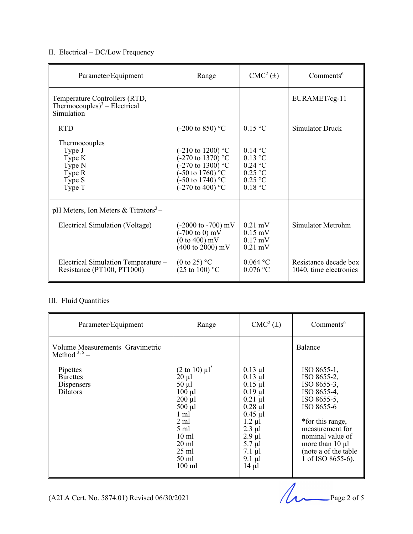## II. Electrical – DC/Low Frequency

| Parameter/Equipment                                                            | Range                                                                                                                                                                                     | $CMC2(\pm)$                                                                               | $Comments^6$                                    |
|--------------------------------------------------------------------------------|-------------------------------------------------------------------------------------------------------------------------------------------------------------------------------------------|-------------------------------------------------------------------------------------------|-------------------------------------------------|
| Temperature Controllers (RTD,<br>Thermocouples) $3 -$ Electrical<br>Simulation |                                                                                                                                                                                           |                                                                                           | EURAMET/cg-11                                   |
| <b>RTD</b>                                                                     | $(-200 \text{ to } 850)$ °C                                                                                                                                                               | $0.15$ °C                                                                                 | Simulator Druck                                 |
| Thermocouples<br>Type J<br>Type K<br>Type N<br>Type R<br>Type S<br>Type T      | $(-210 \text{ to } 1200)$ °C<br>$(-270 \text{ to } 1370)$ °C<br>-270 to 1300) $^{\circ}$ C<br>$-50$ to 1760) <sup>o</sup> C<br>$(-50 \text{ to } 1740)$ °C<br>$(-270 \text{ to } 400)$ °C | $0.14\text{ °C}$<br>$0.13$ °C<br>$0.24$ °C<br>$0.25$ °C<br>$0.25$ °C<br>$0.18 \text{ °C}$ |                                                 |
| pH Meters, Ion Meters & Titrators <sup>3</sup> –                               |                                                                                                                                                                                           |                                                                                           |                                                 |
| Electrical Simulation (Voltage)                                                | $(-2000 \text{ to } -700) \text{ mV}$<br>$(-700 \text{ to } 0) \text{ mV}$<br>$(0 \text{ to } 400)$ mV<br>$(400 \text{ to } 2000) \text{ mV}$                                             | $0.21$ mV<br>$0.15$ mV<br>$0.17$ mV<br>$0.21$ mV                                          | Simulator Metrohm                               |
| Electrical Simulation Temperature -<br>Resistance (PT100, PT1000)              | (0 to 25) $\mathrm{^{\circ}C}$<br>$(25 \text{ to } 100)$ °C                                                                                                                               | 0.064 °C<br>$0.076$ °C                                                                    | Resistance decade box<br>1040, time electronics |

#### III. Fluid Quantities

| Parameter/Equipment                                          | Range                                                                                                                                                                                                                             | $CMC2(\pm)$                                                                                                                                                                                                          | Comments <sup>6</sup>                                                                                                                                                                                                 |
|--------------------------------------------------------------|-----------------------------------------------------------------------------------------------------------------------------------------------------------------------------------------------------------------------------------|----------------------------------------------------------------------------------------------------------------------------------------------------------------------------------------------------------------------|-----------------------------------------------------------------------------------------------------------------------------------------------------------------------------------------------------------------------|
| Volume Measurements Gravimetric<br>Method $3,5$ –            |                                                                                                                                                                                                                                   |                                                                                                                                                                                                                      | Balance                                                                                                                                                                                                               |
| Pipettes<br><b>Burettes</b><br>Dispensers<br><b>Dilators</b> | $(2 \text{ to } 10) \mu l^*$<br>$20 \mu l$<br>$50 \mu l$<br>$100 \mu l$<br>$200 \mu l$<br>$500 \mu l$<br>1 ml<br>$2 \text{ ml}$<br>$5 \text{ ml}$<br>$10 \text{ ml}$<br>$20 \text{ ml}$<br>$25$ ml<br>$50 \text{ ml}$<br>$100$ ml | $0.13 \mu l$<br>$0.13$ $\mu$ l<br>$0.15$ $\mu$ l<br>$0.19 \mu l$<br>$0.21 \mu l$<br>$0.28$ $\mu$ l<br>$0.45$ µl<br>$1.2 \mu l$<br>$2.3 \mu l$<br>$2.9$ µl<br>$5.7 \mu l$<br>$7.1 \mu l$<br>$9.1 \mu l$<br>$14 \mu l$ | ISO 8655-1,<br>ISO 8655-2,<br>ISO 8655-3,<br>ISO 8655-4,<br>ISO 8655-5,<br>ISO 8655-6<br>*for this range,<br>measurement for<br>nominal value of<br>more than $10 \mu l$<br>(note a of the table<br>1 of ISO 8655-6). |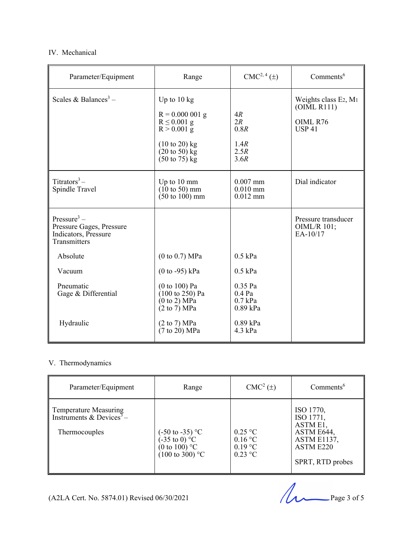#### IV. Mechanical

| Parameter/Equipment                                                                         | Range                                                                                                                                                                              | CMC <sup>2, 4</sup> (±)                        | Comments <sup>6</sup>                                                        |
|---------------------------------------------------------------------------------------------|------------------------------------------------------------------------------------------------------------------------------------------------------------------------------------|------------------------------------------------|------------------------------------------------------------------------------|
| Scales & Balances <sup>3</sup> –                                                            | Up to $10 \text{ kg}$<br>$R = 0.000001 g$<br>$R \leq 0.001$ g<br>$R > 0.001$ g<br>$(10 \text{ to } 20)$ kg<br>$(20 \text{ to } 50) \text{ kg}$<br>$(50 \text{ to } 75) \text{ kg}$ | 4R<br>2R<br>0.8R<br>1.4R<br>2.5R<br>3.6R       | Weights class E2, M <sub>1</sub><br>(OIML R111)<br>OIML R76<br><b>USP 41</b> |
| Titrators <sup>3</sup> –<br>Spindle Travel                                                  | Up to 10 mm<br>$(10 \text{ to } 50) \text{ mm}$<br>$(50 \text{ to } 100) \text{ mm}$                                                                                               | $0.007$ mm<br>$0.010$ mm<br>$0.012$ mm         | Dial indicator                                                               |
| Pressure <sup>3</sup> –<br>Pressure Gages, Pressure<br>Indicators, Pressure<br>Transmitters |                                                                                                                                                                                    |                                                | Pressure transducer<br>OIML/R 101;<br>EA-10/17                               |
| Absolute                                                                                    | (0 to 0.7) MPa                                                                                                                                                                     | $0.5$ kPa                                      |                                                                              |
| Vacuum                                                                                      | $(0 to -95)$ kPa                                                                                                                                                                   | $0.5$ kPa                                      |                                                                              |
| Pneumatic<br>Gage & Differential                                                            | $(0 to 100)$ Pa<br>$(100 \text{ to } 250)$ Pa<br>(0 to 2) MPa<br>$(2 \text{ to } 7) \text{ MPa}$                                                                                   | $0.35$ Pa<br>$0.4$ Pa<br>$0.7$ kPa<br>0.89 kPa |                                                                              |
| Hydraulic                                                                                   | (2 to 7) MPa<br>$(7 \text{ to } 20) \text{ MPa}$                                                                                                                                   | $0.89$ kPa<br>4.3 kPa                          |                                                                              |

#### V. Thermodynamics

| Parameter/Equipment                                                            | Range                                                                                                                           | $CMC2(\pm)$                                             | $Comments^6$                                                                                            |
|--------------------------------------------------------------------------------|---------------------------------------------------------------------------------------------------------------------------------|---------------------------------------------------------|---------------------------------------------------------------------------------------------------------|
| Temperature Measuring<br>Instruments & Devices <sup>3</sup> -<br>Thermocouples | $(-50 \text{ to } -35) \text{ °C}$<br>$(-35 \text{ to } 0) \text{ °C}$<br>(0 to 100) $^{\circ}$ C<br>$(100 \text{ to } 300)$ °C | $0.25$ °C<br>$0.16\text{ °C}$<br>$0.19$ °C<br>$0.23$ °C | ISO 1770,<br>ISO 1771,<br>ASTM E1,<br>ASTM E644,<br><b>ASTM E1137,</b><br>ASTM E220<br>SPRT, RTD probes |

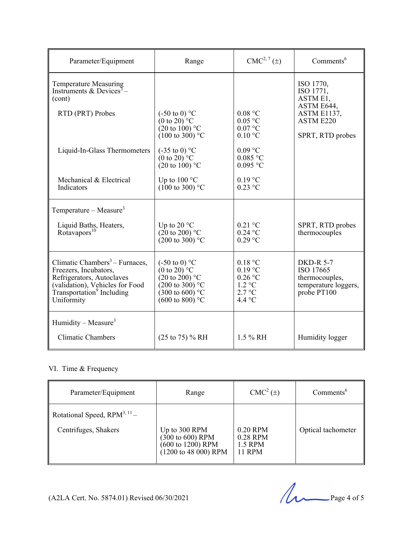| Parameter/Equipment                                                                                                                                                                        | Range                                                                                                                                                                             | $CMC2, 7(\pm)$                                                                     | Comments <sup>6</sup>                                                                                   |
|--------------------------------------------------------------------------------------------------------------------------------------------------------------------------------------------|-----------------------------------------------------------------------------------------------------------------------------------------------------------------------------------|------------------------------------------------------------------------------------|---------------------------------------------------------------------------------------------------------|
| <b>Temperature Measuring</b><br>Instruments & Devices <sup>3</sup> -<br>(cont)<br>RTD (PRT) Probes                                                                                         | $(-50 \text{ to } 0)$ °C<br>$(0 \text{ to } 20)^{\circ}$ C<br>$(20 \text{ to } 100)$ °C<br>$(100 \text{ to } 300)$ °C                                                             | 0.08 °C<br>$0.05$ °C<br>$0.07$ °C<br>$0.10\text{ °C}$                              | ISO 1770,<br>ISO 1771,<br>ASTM E1,<br>ASTM E644,<br><b>ASTM E1137,</b><br>ASTM E220<br>SPRT, RTD probes |
| Liquid-In-Glass Thermometers                                                                                                                                                               | $(-35 \text{ to } 0)$ °C<br>$(0 \text{ to } 20)^{\circ}$ C<br>$(20 \text{ to } 100)$ °C                                                                                           | $0.09$ °C<br>$0.085$ °C<br>$0.095$ °C                                              |                                                                                                         |
| Mechanical & Electrical<br>Indicators                                                                                                                                                      | Up to $100^{\circ}$ C<br>$(100 \text{ to } 300)$ °C                                                                                                                               | $0.19$ °C<br>$0.23$ °C                                                             |                                                                                                         |
| Temperature – Measure <sup>3</sup><br>Liquid Baths, Heaters,<br>Rotavapos <sup>10</sup>                                                                                                    | Up to 20 $\,^{\circ}\mathrm{C}$<br>$(20 \text{ to } 200)$ °C<br>$(200 \text{ to } 300)$ °C                                                                                        | $0.21$ °C<br>$0.24$ °C<br>$0.29$ °C                                                | SPRT, RTD probes<br>thermocouples                                                                       |
| Climatic Chambers <sup>3</sup> – Furnaces,<br>Freezers, Incubators,<br>Refrigerators, Autoclaves<br>(validation), Vehicles for Food<br>Transportation <sup>9</sup> Including<br>Uniformity | $(-50 \text{ to } 0)$ °C<br>$(0 \text{ to } 20)^{\circ}$ C<br>$(20 \text{ to } 200)$ °C<br>$(200 \text{ to } 300)$ °C<br>$(300 \text{ to } 600)$ °C<br>$(600 \text{ to } 800)$ °C | 0.18 °C<br>$0.19$ °C<br>$0.26$ °C<br>$1.2 \text{ °C}$<br>2.7 °C<br>4.4 $\degree$ C | <b>DKD-R 5-7</b><br>ISO 17665<br>thermocouples,<br>temperature loggers,<br>probe PT100                  |
| Humidity – Measure <sup>3</sup><br><b>Climatic Chambers</b>                                                                                                                                | $(25 \text{ to } 75)$ % RH                                                                                                                                                        | 1.5 % RH                                                                           | Humidity logger                                                                                         |

### VI. Time & Frequency

| Parameter/Equipment                                       | Range                                                                                                        | $CMC2(\pm)$                               | $Comments^6$       |
|-----------------------------------------------------------|--------------------------------------------------------------------------------------------------------------|-------------------------------------------|--------------------|
| Rotational Speed, $RPM^{3, 11}$ –<br>Centrifuges, Shakers | Up to 300 RPM<br>$(300 \text{ to } 600)$ RPM<br>(600 to 1200) RPM<br>$(1200 \text{ to } 48 \text{ 000})$ RPM | 0.20 RPM<br>0.28 RPM<br>1.5 RPM<br>11 RPM | Optical tachometer |

(A2LA Cert. No. 5874.01) Revised 06/30/2021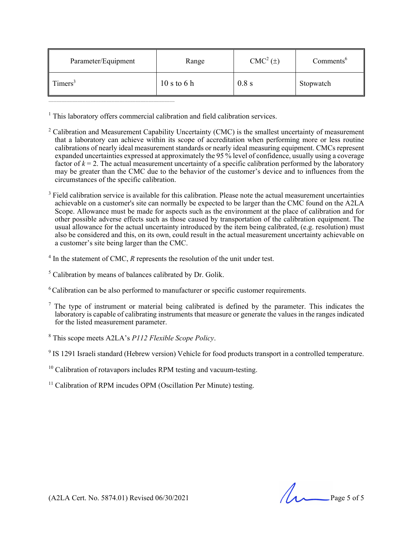| Parameter/Equipment | Range       | CMC <sup>2</sup> (±) | Comments <sup>6</sup> |
|---------------------|-------------|----------------------|-----------------------|
| $\text{Times}^3$    | 10 s to 6 h | 0.8 s                | Stopwatch             |

<sup>1</sup> This laboratory offers commercial calibration and field calibration services.

- $2^2$  Calibration and Measurement Capability Uncertainty (CMC) is the smallest uncertainty of measurement that a laboratory can achieve within its scope of accreditation when performing more or less routine calibrations of nearly ideal measurement standards or nearly ideal measuring equipment. CMCs represent expanded uncertainties expressed at approximately the 95 % level of confidence, usually using a coverage factor of  $k = 2$ . The actual measurement uncertainty of a specific calibration performed by the laboratory may be greater than the CMC due to the behavior of the customer's device and to influences from the circumstances of the specific calibration.
- $3$  Field calibration service is available for this calibration. Please note the actual measurement uncertainties achievable on a customer's site can normally be expected to be larger than the CMC found on the A2LA Scope. Allowance must be made for aspects such as the environment at the place of calibration and for other possible adverse effects such as those caused by transportation of the calibration equipment. The usual allowance for the actual uncertainty introduced by the item being calibrated, (e.g. resolution) must also be considered and this, on its own, could result in the actual measurement uncertainty achievable on a customer's site being larger than the CMC.
- $4$  In the statement of CMC,  $R$  represents the resolution of the unit under test.
- $<sup>5</sup>$  Calibration by means of balances calibrated by Dr. Golik.</sup>
- 6 Calibration can be also performed to manufacturer or specific customer requirements.
- $<sup>7</sup>$  The type of instrument or material being calibrated is defined by the parameter. This indicates the</sup> laboratory is capable of calibrating instruments that measure or generate the values in the ranges indicated for the listed measurement parameter.
- 8 This scope meets A2LA's *P112 Flexible Scope Policy*.
- <sup>9</sup> IS 1291 Israeli standard (Hebrew version) Vehicle for food products transport in a controlled temperature.
- $10$  Calibration of rotavapors includes RPM testing and vacuum-testing.
- $11$  Calibration of RPM incudes OPM (Oscillation Per Minute) testing.

 $(A2LA$  Cert. No. 5874.01) Revised 06/30/2021